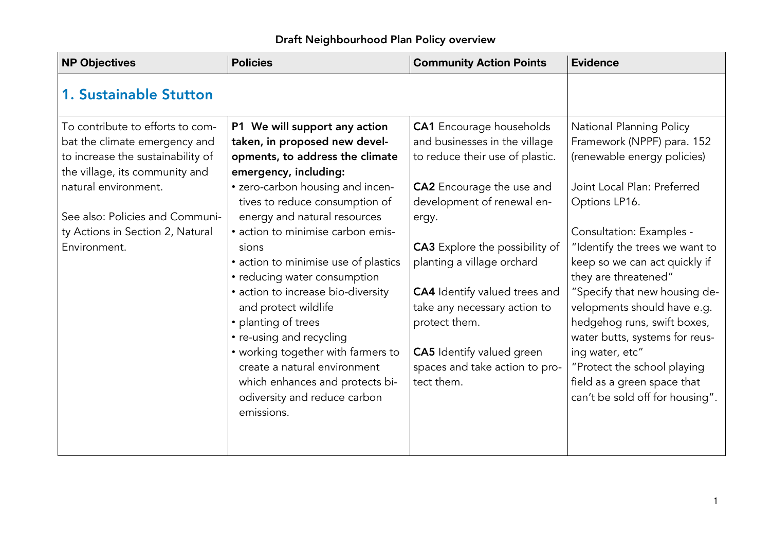| <b>NP Objectives</b>                                                                                                                     | <b>Policies</b>                                                                                                                                     | <b>Community Action Points</b>                                                                      | <b>Evidence</b>                                                                                                               |
|------------------------------------------------------------------------------------------------------------------------------------------|-----------------------------------------------------------------------------------------------------------------------------------------------------|-----------------------------------------------------------------------------------------------------|-------------------------------------------------------------------------------------------------------------------------------|
| <b>1. Sustainable Stutton</b>                                                                                                            |                                                                                                                                                     |                                                                                                     |                                                                                                                               |
| To contribute to efforts to com-<br>bat the climate emergency and<br>to increase the sustainability of<br>the village, its community and | P1 We will support any action<br>taken, in proposed new devel-<br>opments, to address the climate<br>emergency, including:                          | <b>CA1</b> Encourage households<br>and businesses in the village<br>to reduce their use of plastic. | <b>National Planning Policy</b><br>Framework (NPPF) para. 152<br>(renewable energy policies)                                  |
| natural environment.<br>See also: Policies and Communi-                                                                                  | • zero-carbon housing and incen-<br>tives to reduce consumption of<br>energy and natural resources                                                  | <b>CA2</b> Encourage the use and<br>development of renewal en-<br>ergy.                             | Joint Local Plan: Preferred<br>Options LP16.                                                                                  |
| ty Actions in Section 2, Natural<br>Environment.                                                                                         | • action to minimise carbon emis-<br>sions<br>• action to minimise use of plastics<br>• reducing water consumption                                  | <b>CA3</b> Explore the possibility of<br>planting a village orchard                                 | Consultation: Examples -<br>"Identify the trees we want to<br>keep so we can act quickly if<br>they are threatened"           |
|                                                                                                                                          | • action to increase bio-diversity<br>and protect wildlife<br>• planting of trees<br>• re-using and recycling                                       | <b>CA4</b> Identify valued trees and<br>take any necessary action to<br>protect them.               | "Specify that new housing de-<br>velopments should have e.g.<br>hedgehog runs, swift boxes,<br>water butts, systems for reus- |
|                                                                                                                                          | • working together with farmers to<br>create a natural environment<br>which enhances and protects bi-<br>odiversity and reduce carbon<br>emissions. | <b>CA5</b> Identify valued green<br>spaces and take action to pro-<br>tect them.                    | ing water, etc"<br>"Protect the school playing<br>field as a green space that<br>can't be sold off for housing".              |
|                                                                                                                                          |                                                                                                                                                     |                                                                                                     |                                                                                                                               |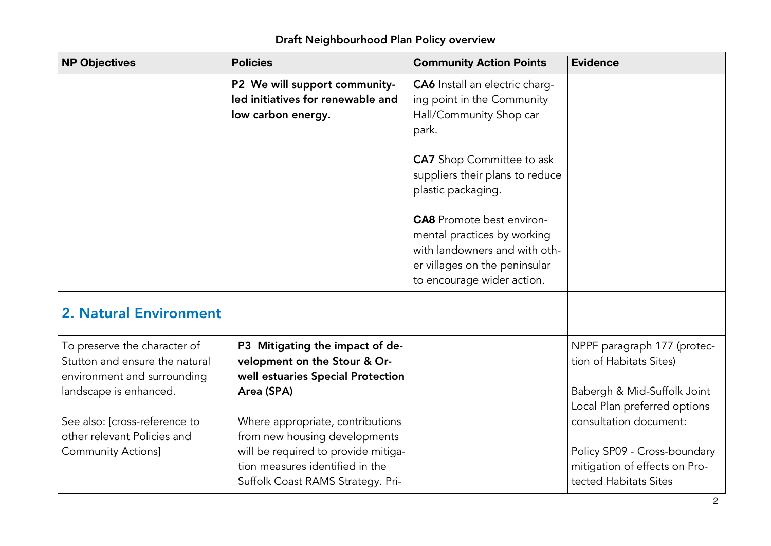#### **NP** Objectives **Objectives Policies Community Action Points Evidence** P2 We will suppor<sup>t</sup> communityled initiatives for renewable and low carbon energy. CA6 Install an electric charging point in the Community Hall/Community Shop car park. **CA7** Shop Committee to ask suppliers their plans to reduce plastic packaging. **CA8** Promote best environmental practices by working with landowners and with other villages on the peninsular to encourage wider action. 2. Natural EnvironmentTo preserve the character of Stutton and ensure the natural environment and surrounding landscape is enhanced. See also: [cross-reference to other relevant Policies andCommunity Actions] P3 Mitigating the impact of development on the Stour & Orwell estuaries Special Protection Area (SPA) Where appropriate, contributions from new housing developments will be required to provide mitigation measures identified in the Suffolk Coast RAMS Strategy. Pri-NPPF paragraph <sup>177</sup> (protec tion of Habitats Sites) Babergh & Mid-Suffolk Joint Local Plan preferred options consultation document: Policy SP09 - Cross-boundary mitigation of effects on Pro tected Habitats Sites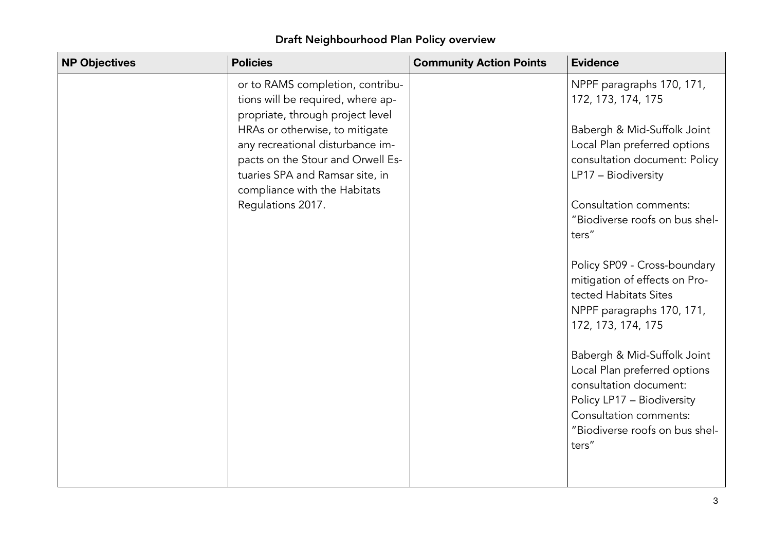| <b>NP Objectives</b> | <b>Policies</b>                                                                                                                                                            | <b>Community Action Points</b> | <b>Evidence</b>                                                                                                                                                                          |
|----------------------|----------------------------------------------------------------------------------------------------------------------------------------------------------------------------|--------------------------------|------------------------------------------------------------------------------------------------------------------------------------------------------------------------------------------|
|                      | or to RAMS completion, contribu-<br>tions will be required, where ap-<br>propriate, through project level                                                                  |                                | NPPF paragraphs 170, 171,<br>172, 173, 174, 175                                                                                                                                          |
|                      | HRAs or otherwise, to mitigate<br>any recreational disturbance im-<br>pacts on the Stour and Orwell Es-<br>tuaries SPA and Ramsar site, in<br>compliance with the Habitats |                                | Babergh & Mid-Suffolk Joint<br>Local Plan preferred options<br>consultation document: Policy<br>LP17 - Biodiversity                                                                      |
|                      | Regulations 2017.                                                                                                                                                          |                                | Consultation comments:<br>"Biodiverse roofs on bus shel-<br>ters"                                                                                                                        |
|                      |                                                                                                                                                                            |                                | Policy SP09 - Cross-boundary<br>mitigation of effects on Pro-<br>tected Habitats Sites<br>NPPF paragraphs 170, 171,<br>172, 173, 174, 175                                                |
|                      |                                                                                                                                                                            |                                | Babergh & Mid-Suffolk Joint<br>Local Plan preferred options<br>consultation document:<br>Policy LP17 - Biodiversity<br>Consultation comments:<br>"Biodiverse roofs on bus shel-<br>ters" |
|                      |                                                                                                                                                                            |                                |                                                                                                                                                                                          |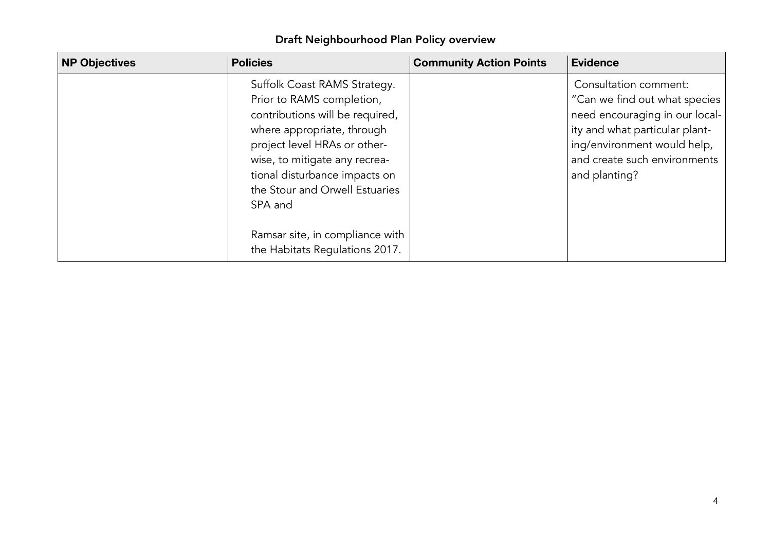| <b>NP Objectives</b> | <b>Policies</b>                                                                                                                                                                                                                                                | <b>Community Action Points</b> | <b>Evidence</b>                                                                                                                                                                                            |
|----------------------|----------------------------------------------------------------------------------------------------------------------------------------------------------------------------------------------------------------------------------------------------------------|--------------------------------|------------------------------------------------------------------------------------------------------------------------------------------------------------------------------------------------------------|
|                      | Suffolk Coast RAMS Strategy.<br>Prior to RAMS completion,<br>contributions will be required,<br>where appropriate, through<br>project level HRAs or other-<br>wise, to mitigate any recrea-<br>tional disturbance impacts on<br>the Stour and Orwell Estuaries |                                | Consultation comment:<br>"Can we find out what species<br>need encouraging in our local-<br>ity and what particular plant-<br>ing/environment would help,<br>and create such environments<br>and planting? |
|                      | SPA and<br>Ramsar site, in compliance with<br>the Habitats Regulations 2017.                                                                                                                                                                                   |                                |                                                                                                                                                                                                            |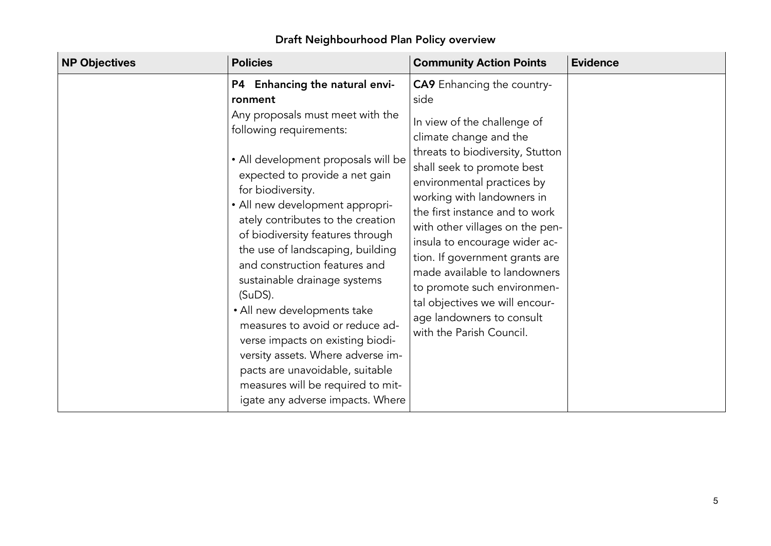| <b>NP Objectives</b> | <b>Policies</b>                                                                                                                                                                                                                                                                                                                                                                                                                                                                                                                                                                                                                                                                              | <b>Community Action Points</b>                                                                                                                                                                                                                                                                                                                                                                                                                                                                                                     | <b>Evidence</b> |
|----------------------|----------------------------------------------------------------------------------------------------------------------------------------------------------------------------------------------------------------------------------------------------------------------------------------------------------------------------------------------------------------------------------------------------------------------------------------------------------------------------------------------------------------------------------------------------------------------------------------------------------------------------------------------------------------------------------------------|------------------------------------------------------------------------------------------------------------------------------------------------------------------------------------------------------------------------------------------------------------------------------------------------------------------------------------------------------------------------------------------------------------------------------------------------------------------------------------------------------------------------------------|-----------------|
|                      | P4 Enhancing the natural envi-<br>ronment<br>Any proposals must meet with the<br>following requirements:<br>• All development proposals will be<br>expected to provide a net gain<br>for biodiversity.<br>• All new development appropri-<br>ately contributes to the creation<br>of biodiversity features through<br>the use of landscaping, building<br>and construction features and<br>sustainable drainage systems<br>$(SuDS)$ .<br>• All new developments take<br>measures to avoid or reduce ad-<br>verse impacts on existing biodi-<br>versity assets. Where adverse im-<br>pacts are unavoidable, suitable<br>measures will be required to mit-<br>igate any adverse impacts. Where | <b>CA9</b> Enhancing the country-<br>side<br>In view of the challenge of<br>climate change and the<br>threats to biodiversity, Stutton<br>shall seek to promote best<br>environmental practices by<br>working with landowners in<br>the first instance and to work<br>with other villages on the pen-<br>insula to encourage wider ac-<br>tion. If government grants are<br>made available to landowners<br>to promote such environmen-<br>tal objectives we will encour-<br>age landowners to consult<br>with the Parish Council. |                 |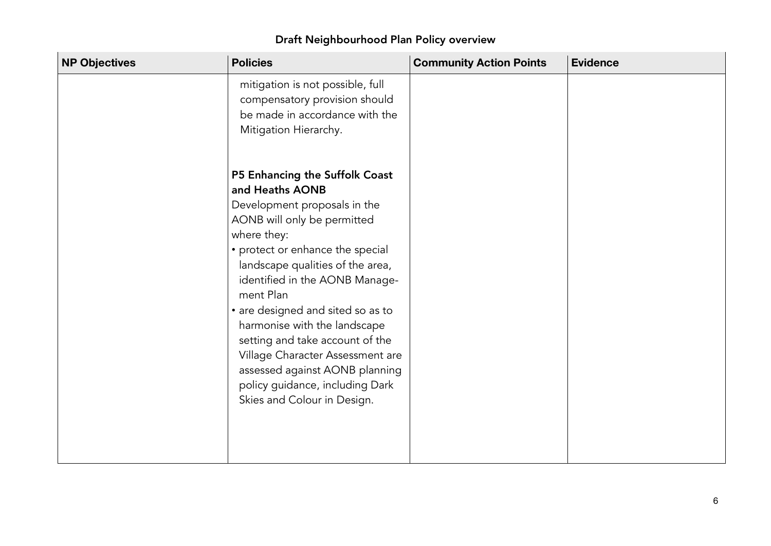| <b>NP Objectives</b> | <b>Policies</b>                                                                                                                                                                                                                                                                                                                                                                                                                                                                                        | <b>Community Action Points</b> | <b>Evidence</b> |
|----------------------|--------------------------------------------------------------------------------------------------------------------------------------------------------------------------------------------------------------------------------------------------------------------------------------------------------------------------------------------------------------------------------------------------------------------------------------------------------------------------------------------------------|--------------------------------|-----------------|
|                      | mitigation is not possible, full<br>compensatory provision should<br>be made in accordance with the<br>Mitigation Hierarchy.                                                                                                                                                                                                                                                                                                                                                                           |                                |                 |
|                      | P5 Enhancing the Suffolk Coast<br>and Heaths AONB<br>Development proposals in the<br>AONB will only be permitted<br>where they:<br>• protect or enhance the special<br>landscape qualities of the area,<br>identified in the AONB Manage-<br>ment Plan<br>• are designed and sited so as to<br>harmonise with the landscape<br>setting and take account of the<br>Village Character Assessment are<br>assessed against AONB planning<br>policy guidance, including Dark<br>Skies and Colour in Design. |                                |                 |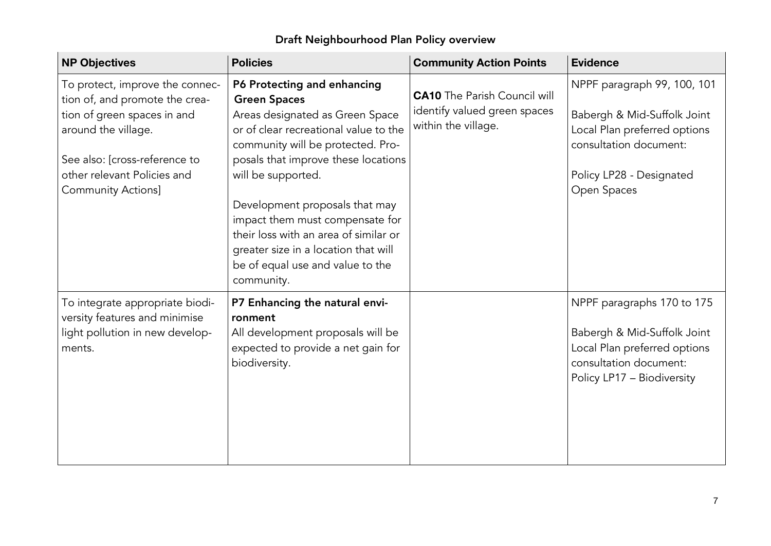| <b>NP Objectives</b>                                                                                                                                                                                                 | <b>Policies</b>                                                                                                                                                                                                                                                                                                                                                                                                                          | <b>Community Action Points</b>                                                             | <b>Evidence</b>                                                                                                                                                 |
|----------------------------------------------------------------------------------------------------------------------------------------------------------------------------------------------------------------------|------------------------------------------------------------------------------------------------------------------------------------------------------------------------------------------------------------------------------------------------------------------------------------------------------------------------------------------------------------------------------------------------------------------------------------------|--------------------------------------------------------------------------------------------|-----------------------------------------------------------------------------------------------------------------------------------------------------------------|
| To protect, improve the connec-<br>tion of, and promote the crea-<br>tion of green spaces in and<br>around the village.<br>See also: [cross-reference to<br>other relevant Policies and<br><b>Community Actions]</b> | P6 Protecting and enhancing<br><b>Green Spaces</b><br>Areas designated as Green Space<br>or of clear recreational value to the<br>community will be protected. Pro-<br>posals that improve these locations<br>will be supported.<br>Development proposals that may<br>impact them must compensate for<br>their loss with an area of similar or<br>greater size in a location that will<br>be of equal use and value to the<br>community. | <b>CA10</b> The Parish Council will<br>identify valued green spaces<br>within the village. | NPPF paragraph 99, 100, 101<br>Babergh & Mid-Suffolk Joint<br>Local Plan preferred options<br>consultation document:<br>Policy LP28 - Designated<br>Open Spaces |
| To integrate appropriate biodi-<br>versity features and minimise<br>light pollution in new develop-<br>ments.                                                                                                        | P7 Enhancing the natural envi-<br>ronment<br>All development proposals will be<br>expected to provide a net gain for<br>biodiversity.                                                                                                                                                                                                                                                                                                    |                                                                                            | NPPF paragraphs 170 to 175<br>Babergh & Mid-Suffolk Joint<br>Local Plan preferred options<br>consultation document:<br>Policy LP17 - Biodiversity               |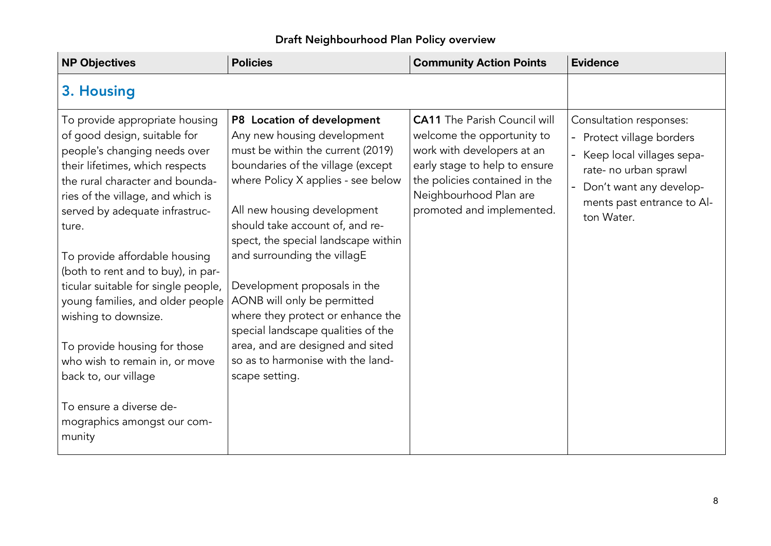| <b>NP Objectives</b>                                                                                                                                                                                                                                                                                                                                                                                                                                                                                                                                                                         | <b>Policies</b>                                                                                                                                                                                                                                                                                                                                                                                                                                                                                                                                        | <b>Community Action Points</b>                                                                                                                                                                                           | <b>Evidence</b>                                                                                                                                                                                               |
|----------------------------------------------------------------------------------------------------------------------------------------------------------------------------------------------------------------------------------------------------------------------------------------------------------------------------------------------------------------------------------------------------------------------------------------------------------------------------------------------------------------------------------------------------------------------------------------------|--------------------------------------------------------------------------------------------------------------------------------------------------------------------------------------------------------------------------------------------------------------------------------------------------------------------------------------------------------------------------------------------------------------------------------------------------------------------------------------------------------------------------------------------------------|--------------------------------------------------------------------------------------------------------------------------------------------------------------------------------------------------------------------------|---------------------------------------------------------------------------------------------------------------------------------------------------------------------------------------------------------------|
| 3. Housing                                                                                                                                                                                                                                                                                                                                                                                                                                                                                                                                                                                   |                                                                                                                                                                                                                                                                                                                                                                                                                                                                                                                                                        |                                                                                                                                                                                                                          |                                                                                                                                                                                                               |
| To provide appropriate housing<br>of good design, suitable for<br>people's changing needs over<br>their lifetimes, which respects<br>the rural character and bounda-<br>ries of the village, and which is<br>served by adequate infrastruc-<br>ture.<br>To provide affordable housing<br>(both to rent and to buy), in par-<br>ticular suitable for single people,<br>young families, and older people<br>wishing to downsize.<br>To provide housing for those<br>who wish to remain in, or move<br>back to, our village<br>To ensure a diverse de-<br>mographics amongst our com-<br>munity | P8 Location of development<br>Any new housing development<br>must be within the current (2019)<br>boundaries of the village (except<br>where Policy X applies - see below<br>All new housing development<br>should take account of, and re-<br>spect, the special landscape within<br>and surrounding the villagE<br>Development proposals in the<br>AONB will only be permitted<br>where they protect or enhance the<br>special landscape qualities of the<br>area, and are designed and sited<br>so as to harmonise with the land-<br>scape setting. | <b>CA11</b> The Parish Council will<br>welcome the opportunity to<br>work with developers at an<br>early stage to help to ensure<br>the policies contained in the<br>Neighbourhood Plan are<br>promoted and implemented. | Consultation responses:<br>- Protect village borders<br>Keep local villages sepa-<br>$\overline{\phantom{a}}$<br>rate- no urban sprawl<br>Don't want any develop-<br>ments past entrance to Al-<br>ton Water. |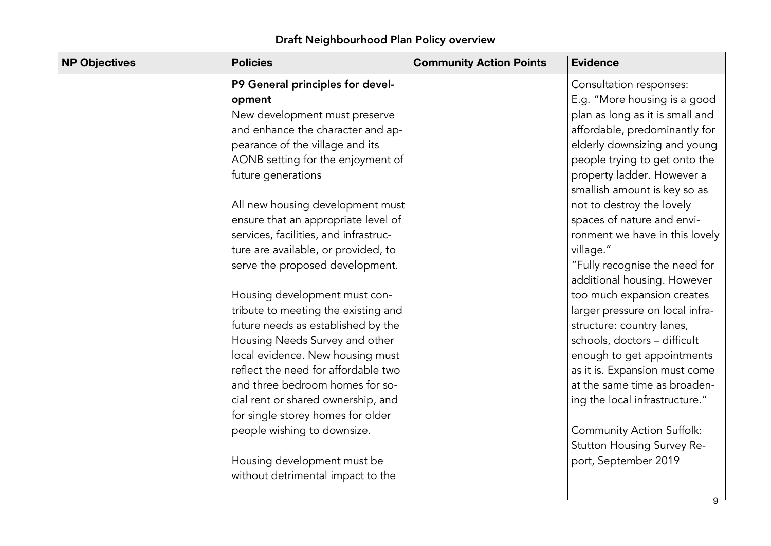| <b>NP Objectives</b> | <b>Policies</b>                                                                                                                                                                                                                                                                                                                                                                                                                                                                                                                                                                                                                                                                                                                                                                                                     | <b>Community Action Points</b> | <b>Evidence</b>                                                                                                                                                                                                                                                                                                                                                                                                                                                                                                                                                                                                                                                                                                                                                                               |
|----------------------|---------------------------------------------------------------------------------------------------------------------------------------------------------------------------------------------------------------------------------------------------------------------------------------------------------------------------------------------------------------------------------------------------------------------------------------------------------------------------------------------------------------------------------------------------------------------------------------------------------------------------------------------------------------------------------------------------------------------------------------------------------------------------------------------------------------------|--------------------------------|-----------------------------------------------------------------------------------------------------------------------------------------------------------------------------------------------------------------------------------------------------------------------------------------------------------------------------------------------------------------------------------------------------------------------------------------------------------------------------------------------------------------------------------------------------------------------------------------------------------------------------------------------------------------------------------------------------------------------------------------------------------------------------------------------|
|                      | P9 General principles for devel-<br>opment<br>New development must preserve<br>and enhance the character and ap-<br>pearance of the village and its<br>AONB setting for the enjoyment of<br>future generations<br>All new housing development must<br>ensure that an appropriate level of<br>services, facilities, and infrastruc-<br>ture are available, or provided, to<br>serve the proposed development.<br>Housing development must con-<br>tribute to meeting the existing and<br>future needs as established by the<br>Housing Needs Survey and other<br>local evidence. New housing must<br>reflect the need for affordable two<br>and three bedroom homes for so-<br>cial rent or shared ownership, and<br>for single storey homes for older<br>people wishing to downsize.<br>Housing development must be |                                | Consultation responses:<br>E.g. "More housing is a good<br>plan as long as it is small and<br>affordable, predominantly for<br>elderly downsizing and young<br>people trying to get onto the<br>property ladder. However a<br>smallish amount is key so as<br>not to destroy the lovely<br>spaces of nature and envi-<br>ronment we have in this lovely<br>village."<br>"Fully recognise the need for<br>additional housing. However<br>too much expansion creates<br>larger pressure on local infra-<br>structure: country lanes,<br>schools, doctors - difficult<br>enough to get appointments<br>as it is. Expansion must come<br>at the same time as broaden-<br>ing the local infrastructure."<br><b>Community Action Suffolk:</b><br>Stutton Housing Survey Re-<br>port, September 2019 |
|                      | without detrimental impact to the                                                                                                                                                                                                                                                                                                                                                                                                                                                                                                                                                                                                                                                                                                                                                                                   |                                |                                                                                                                                                                                                                                                                                                                                                                                                                                                                                                                                                                                                                                                                                                                                                                                               |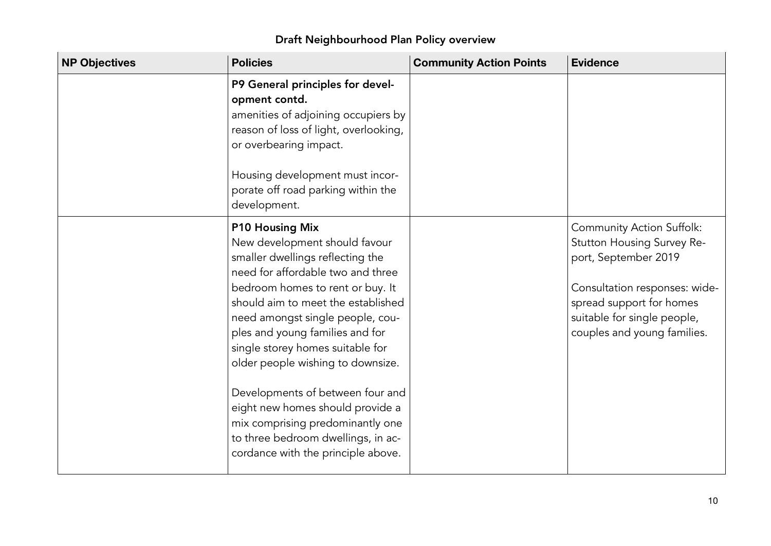| <b>NP Objectives</b> | <b>Policies</b>                                                                                                                                                                                                                                                                                                                                                                                                                                                                                                                                    | <b>Community Action Points</b> | <b>Evidence</b>                                                                                                                                                                                                   |
|----------------------|----------------------------------------------------------------------------------------------------------------------------------------------------------------------------------------------------------------------------------------------------------------------------------------------------------------------------------------------------------------------------------------------------------------------------------------------------------------------------------------------------------------------------------------------------|--------------------------------|-------------------------------------------------------------------------------------------------------------------------------------------------------------------------------------------------------------------|
|                      | P9 General principles for devel-<br>opment contd.<br>amenities of adjoining occupiers by<br>reason of loss of light, overlooking,<br>or overbearing impact.<br>Housing development must incor-<br>porate off road parking within the<br>development.                                                                                                                                                                                                                                                                                               |                                |                                                                                                                                                                                                                   |
|                      | <b>P10 Housing Mix</b><br>New development should favour<br>smaller dwellings reflecting the<br>need for affordable two and three<br>bedroom homes to rent or buy. It<br>should aim to meet the established<br>need amongst single people, cou-<br>ples and young families and for<br>single storey homes suitable for<br>older people wishing to downsize.<br>Developments of between four and<br>eight new homes should provide a<br>mix comprising predominantly one<br>to three bedroom dwellings, in ac-<br>cordance with the principle above. |                                | <b>Community Action Suffolk:</b><br>Stutton Housing Survey Re-<br>port, September 2019<br>Consultation responses: wide-<br>spread support for homes<br>suitable for single people,<br>couples and young families. |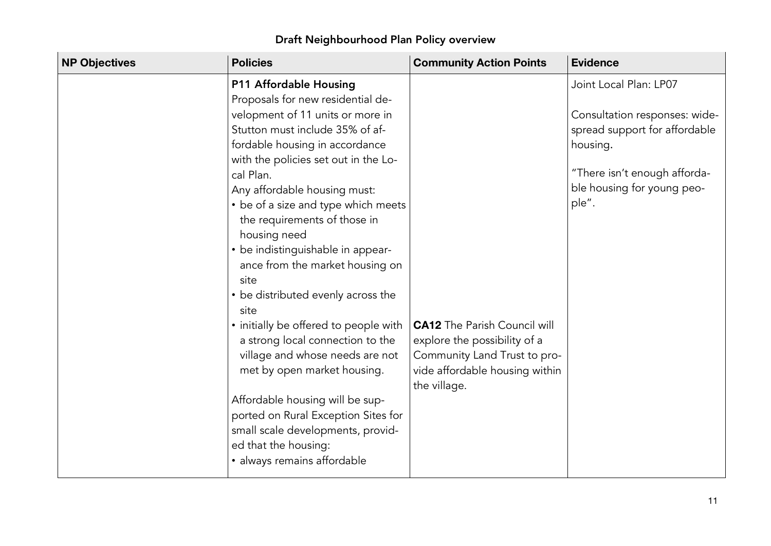۰

| <b>NP Objectives</b> | <b>Policies</b>                       | <b>Community Action Points</b>      | <b>Evidence</b>               |
|----------------------|---------------------------------------|-------------------------------------|-------------------------------|
|                      | P11 Affordable Housing                |                                     | Joint Local Plan: LP07        |
|                      | Proposals for new residential de-     |                                     |                               |
|                      | velopment of 11 units or more in      |                                     | Consultation responses: wide- |
|                      | Stutton must include 35% of af-       |                                     | spread support for affordable |
|                      | fordable housing in accordance        |                                     | housing.                      |
|                      | with the policies set out in the Lo-  |                                     |                               |
|                      | cal Plan.                             |                                     | "There isn't enough afforda-  |
|                      | Any affordable housing must:          |                                     | ble housing for young peo-    |
|                      | • be of a size and type which meets   |                                     | ple".                         |
|                      | the requirements of those in          |                                     |                               |
|                      | housing need                          |                                     |                               |
|                      | • be indistinguishable in appear-     |                                     |                               |
|                      | ance from the market housing on       |                                     |                               |
|                      | site                                  |                                     |                               |
|                      | • be distributed evenly across the    |                                     |                               |
|                      | site                                  |                                     |                               |
|                      | • initially be offered to people with | <b>CA12</b> The Parish Council will |                               |
|                      | a strong local connection to the      | explore the possibility of a        |                               |
|                      | village and whose needs are not       | Community Land Trust to pro-        |                               |
|                      | met by open market housing.           | vide affordable housing within      |                               |
|                      |                                       | the village.                        |                               |
|                      | Affordable housing will be sup-       |                                     |                               |
|                      | ported on Rural Exception Sites for   |                                     |                               |
|                      | small scale developments, provid-     |                                     |                               |
|                      | ed that the housing:                  |                                     |                               |
|                      | · always remains affordable           |                                     |                               |
|                      |                                       |                                     |                               |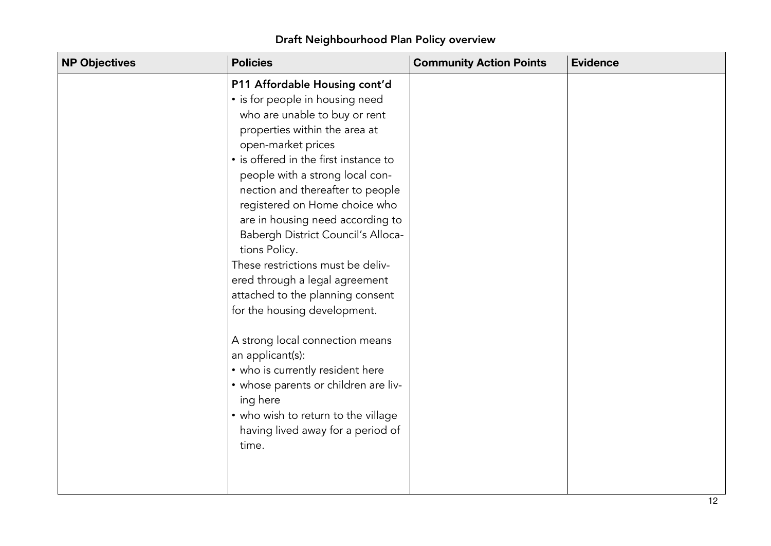| <b>NP Objectives</b> | <b>Policies</b>                                                                                                                                                                                                                                                                                                                                                                                                                                                                                                                                                                                                                                                                                                                                                                     | <b>Community Action Points</b> | <b>Evidence</b> |
|----------------------|-------------------------------------------------------------------------------------------------------------------------------------------------------------------------------------------------------------------------------------------------------------------------------------------------------------------------------------------------------------------------------------------------------------------------------------------------------------------------------------------------------------------------------------------------------------------------------------------------------------------------------------------------------------------------------------------------------------------------------------------------------------------------------------|--------------------------------|-----------------|
|                      | P11 Affordable Housing cont'd<br>• is for people in housing need<br>who are unable to buy or rent<br>properties within the area at<br>open-market prices<br>• is offered in the first instance to<br>people with a strong local con-<br>nection and thereafter to people<br>registered on Home choice who<br>are in housing need according to<br>Babergh District Council's Alloca-<br>tions Policy.<br>These restrictions must be deliv-<br>ered through a legal agreement<br>attached to the planning consent<br>for the housing development.<br>A strong local connection means<br>an applicant(s):<br>• who is currently resident here<br>• whose parents or children are liv-<br>ing here<br>• who wish to return to the village<br>having lived away for a period of<br>time. |                                |                 |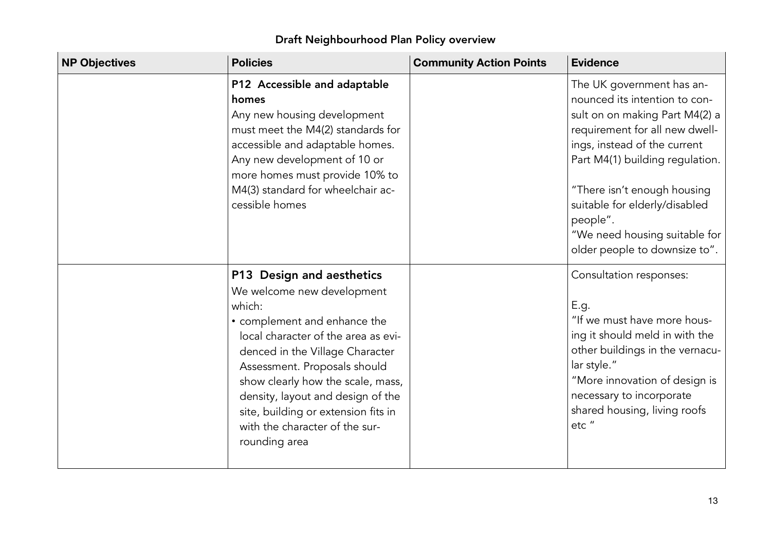| <b>NP Objectives</b> | <b>Policies</b>                                                                                                                                                                                                                                                                                                                                                                 | <b>Community Action Points</b> | <b>Evidence</b>                                                                                                                                                                                                                                                                                                                                 |
|----------------------|---------------------------------------------------------------------------------------------------------------------------------------------------------------------------------------------------------------------------------------------------------------------------------------------------------------------------------------------------------------------------------|--------------------------------|-------------------------------------------------------------------------------------------------------------------------------------------------------------------------------------------------------------------------------------------------------------------------------------------------------------------------------------------------|
|                      | P12 Accessible and adaptable<br>homes<br>Any new housing development<br>must meet the M4(2) standards for<br>accessible and adaptable homes.<br>Any new development of 10 or<br>more homes must provide 10% to<br>M4(3) standard for wheelchair ac-<br>cessible homes                                                                                                           |                                | The UK government has an-<br>nounced its intention to con-<br>sult on on making Part M4(2) a<br>requirement for all new dwell-<br>ings, instead of the current<br>Part M4(1) building regulation.<br>"There isn't enough housing<br>suitable for elderly/disabled<br>people".<br>"We need housing suitable for<br>older people to downsize to". |
|                      | P13 Design and aesthetics<br>We welcome new development<br>which:<br>• complement and enhance the<br>local character of the area as evi-<br>denced in the Village Character<br>Assessment. Proposals should<br>show clearly how the scale, mass,<br>density, layout and design of the<br>site, building or extension fits in<br>with the character of the sur-<br>rounding area |                                | Consultation responses:<br>E.g.<br>"If we must have more hous-<br>ing it should meld in with the<br>other buildings in the vernacu-<br>lar style."<br>"More innovation of design is<br>necessary to incorporate<br>shared housing, living roofs<br>etc"                                                                                         |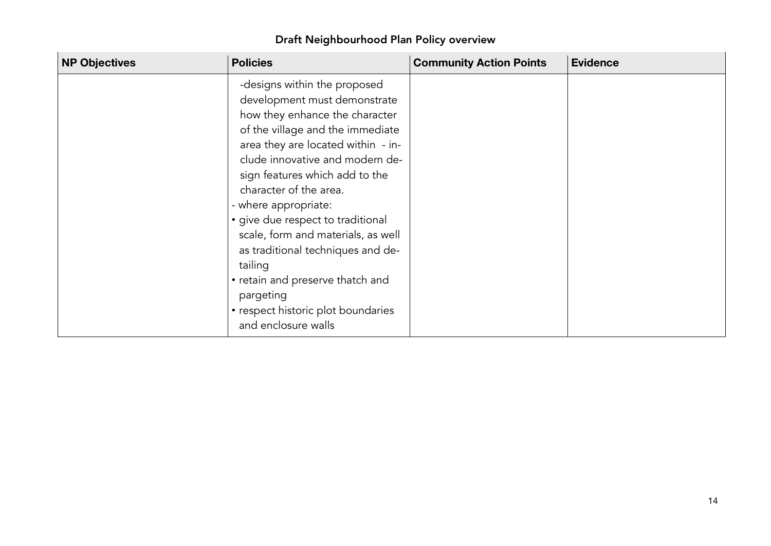| Draft Neighbourhood Plan Policy overview |
|------------------------------------------|
|------------------------------------------|

| <b>NP Objectives</b> | <b>Policies</b>                                                                                                                                                                                                                                                                                                                                                                                                                                                                                                                          | <b>Community Action Points</b> | <b>Evidence</b> |
|----------------------|------------------------------------------------------------------------------------------------------------------------------------------------------------------------------------------------------------------------------------------------------------------------------------------------------------------------------------------------------------------------------------------------------------------------------------------------------------------------------------------------------------------------------------------|--------------------------------|-----------------|
|                      | -designs within the proposed<br>development must demonstrate<br>how they enhance the character<br>of the village and the immediate<br>area they are located within - in-<br>clude innovative and modern de-<br>sign features which add to the<br>character of the area.<br>- where appropriate:<br>· give due respect to traditional<br>scale, form and materials, as well<br>as traditional techniques and de-<br>tailing<br>• retain and preserve thatch and<br>pargeting<br>• respect historic plot boundaries<br>and enclosure walls |                                |                 |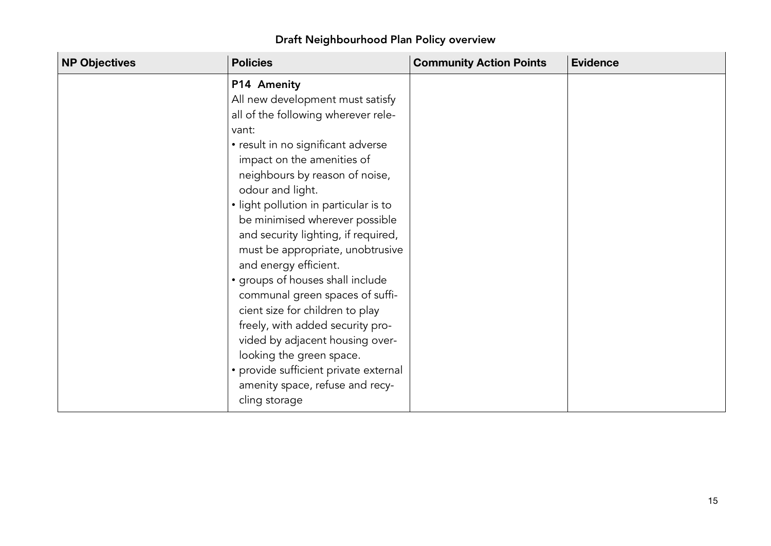|  |  | Draft Neighbourhood Plan Policy overview |
|--|--|------------------------------------------|
|  |  |                                          |

۰

| <b>NP Objectives</b><br><b>Policies</b> |                                                                                                                                                                                                                                                                                                                                                                                                                                                                                                                                                                                                                                                                                                           | <b>Community Action Points</b> | <b>Evidence</b> |
|-----------------------------------------|-----------------------------------------------------------------------------------------------------------------------------------------------------------------------------------------------------------------------------------------------------------------------------------------------------------------------------------------------------------------------------------------------------------------------------------------------------------------------------------------------------------------------------------------------------------------------------------------------------------------------------------------------------------------------------------------------------------|--------------------------------|-----------------|
| vant:                                   | P14 Amenity<br>All new development must satisfy<br>all of the following wherever rele-<br>• result in no significant adverse<br>impact on the amenities of<br>neighbours by reason of noise,<br>odour and light.<br>• light pollution in particular is to<br>be minimised wherever possible<br>and security lighting, if required,<br>must be appropriate, unobtrusive<br>and energy efficient.<br>• groups of houses shall include<br>communal green spaces of suffi-<br>cient size for children to play<br>freely, with added security pro-<br>vided by adjacent housing over-<br>looking the green space.<br>• provide sufficient private external<br>amenity space, refuse and recy-<br>cling storage |                                |                 |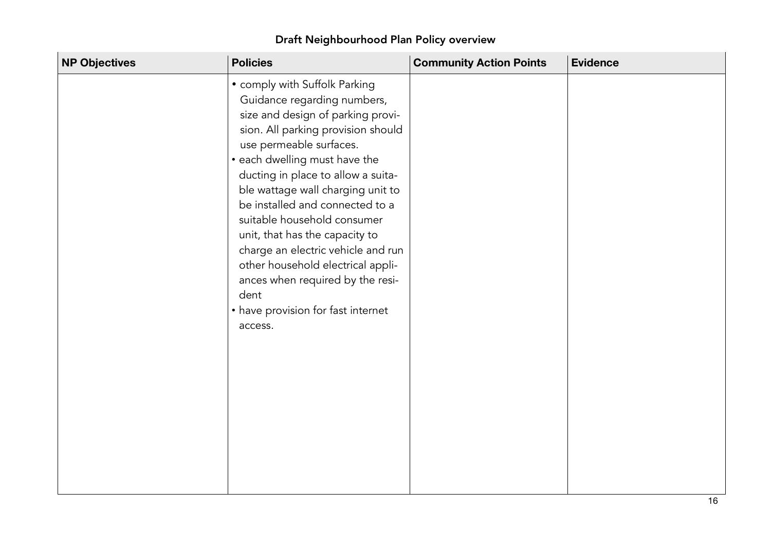| <b>NP Objectives</b> | <b>Policies</b>                                                                                                                                                                                                                                                                                                                                                                                                                                                                                                                                            | <b>Community Action Points</b> | <b>Evidence</b> |
|----------------------|------------------------------------------------------------------------------------------------------------------------------------------------------------------------------------------------------------------------------------------------------------------------------------------------------------------------------------------------------------------------------------------------------------------------------------------------------------------------------------------------------------------------------------------------------------|--------------------------------|-----------------|
|                      | • comply with Suffolk Parking<br>Guidance regarding numbers,<br>size and design of parking provi-<br>sion. All parking provision should<br>use permeable surfaces.<br>• each dwelling must have the<br>ducting in place to allow a suita-<br>ble wattage wall charging unit to<br>be installed and connected to a<br>suitable household consumer<br>unit, that has the capacity to<br>charge an electric vehicle and run<br>other household electrical appli-<br>ances when required by the resi-<br>dent<br>• have provision for fast internet<br>access. |                                |                 |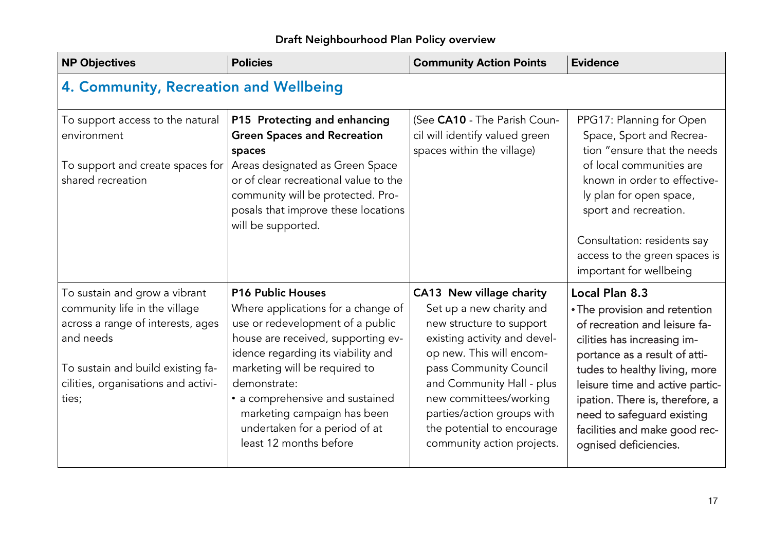| <b>NP Objectives</b>                                                                                                                                                                                  | <b>Policies</b>                                                                                                                                                                                                                                                                                                                                              | <b>Community Action Points</b>                                                                                                                                                                                                                                                                                          | <b>Evidence</b>                                                                                                                                                                                                                                                                                                                                 |  |  |
|-------------------------------------------------------------------------------------------------------------------------------------------------------------------------------------------------------|--------------------------------------------------------------------------------------------------------------------------------------------------------------------------------------------------------------------------------------------------------------------------------------------------------------------------------------------------------------|-------------------------------------------------------------------------------------------------------------------------------------------------------------------------------------------------------------------------------------------------------------------------------------------------------------------------|-------------------------------------------------------------------------------------------------------------------------------------------------------------------------------------------------------------------------------------------------------------------------------------------------------------------------------------------------|--|--|
| 4. Community, Recreation and Wellbeing                                                                                                                                                                |                                                                                                                                                                                                                                                                                                                                                              |                                                                                                                                                                                                                                                                                                                         |                                                                                                                                                                                                                                                                                                                                                 |  |  |
| To support access to the natural<br>environment<br>To support and create spaces for<br>shared recreation                                                                                              | P15 Protecting and enhancing<br><b>Green Spaces and Recreation</b><br>spaces<br>Areas designated as Green Space<br>or of clear recreational value to the<br>community will be protected. Pro-<br>posals that improve these locations<br>will be supported.                                                                                                   | (See CA10 - The Parish Coun-<br>cil will identify valued green<br>spaces within the village)                                                                                                                                                                                                                            | PPG17: Planning for Open<br>Space, Sport and Recrea-<br>tion "ensure that the needs<br>of local communities are<br>known in order to effective-<br>ly plan for open space,<br>sport and recreation.<br>Consultation: residents say<br>access to the green spaces is<br>important for wellbeing                                                  |  |  |
| To sustain and grow a vibrant<br>community life in the village<br>across a range of interests, ages<br>and needs<br>To sustain and build existing fa-<br>cilities, organisations and activi-<br>ties; | <b>P16 Public Houses</b><br>Where applications for a change of<br>use or redevelopment of a public<br>house are received, supporting ev-<br>idence regarding its viability and<br>marketing will be required to<br>demonstrate:<br>• a comprehensive and sustained<br>marketing campaign has been<br>undertaken for a period of at<br>least 12 months before | CA13 New village charity<br>Set up a new charity and<br>new structure to support<br>existing activity and devel-<br>op new. This will encom-<br>pass Community Council<br>and Community Hall - plus<br>new committees/working<br>parties/action groups with<br>the potential to encourage<br>community action projects. | Local Plan 8.3<br>• The provision and retention<br>of recreation and leisure fa-<br>cilities has increasing im-<br>portance as a result of atti-<br>tudes to healthy living, more<br>leisure time and active partic-<br>ipation. There is, therefore, a<br>need to safeguard existing<br>facilities and make good rec-<br>ognised deficiencies. |  |  |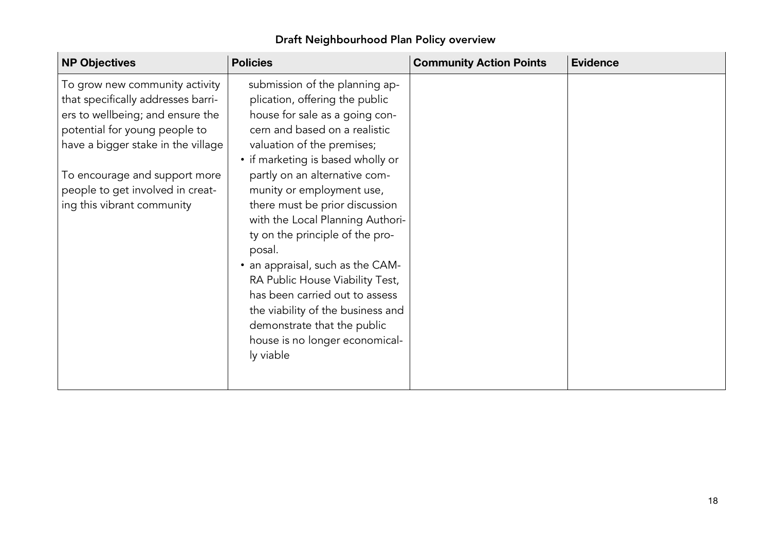| <b>NP Objectives</b>                                                                                                                                                                                                                                                               | <b>Policies</b>                                                                                                                                                                                                                                                                                                                                                                                                                                                                                                                                                                                                     | <b>Community Action Points</b> | <b>Evidence</b> |
|------------------------------------------------------------------------------------------------------------------------------------------------------------------------------------------------------------------------------------------------------------------------------------|---------------------------------------------------------------------------------------------------------------------------------------------------------------------------------------------------------------------------------------------------------------------------------------------------------------------------------------------------------------------------------------------------------------------------------------------------------------------------------------------------------------------------------------------------------------------------------------------------------------------|--------------------------------|-----------------|
| To grow new community activity<br>that specifically addresses barri-<br>ers to wellbeing; and ensure the<br>potential for young people to<br>have a bigger stake in the village<br>To encourage and support more<br>people to get involved in creat-<br>ing this vibrant community | submission of the planning ap-<br>plication, offering the public<br>house for sale as a going con-<br>cern and based on a realistic<br>valuation of the premises;<br>• if marketing is based wholly or<br>partly on an alternative com-<br>munity or employment use,<br>there must be prior discussion<br>with the Local Planning Authori-<br>ty on the principle of the pro-<br>posal.<br>• an appraisal, such as the CAM-<br>RA Public House Viability Test,<br>has been carried out to assess<br>the viability of the business and<br>demonstrate that the public<br>house is no longer economical-<br>ly viable |                                |                 |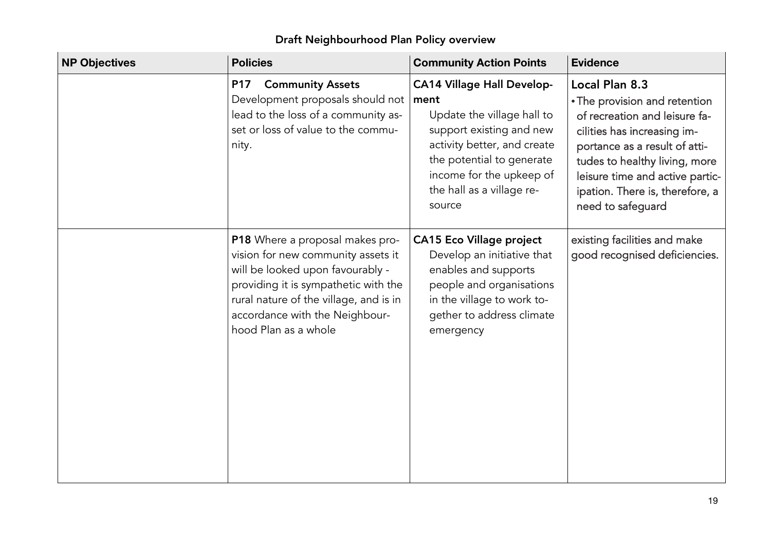| Draft Neighbourhood Plan Policy overview |  |
|------------------------------------------|--|
|                                          |  |

| <b>NP Objectives</b> | <b>Policies</b>                                                                                                                                                                                                                                       | <b>Community Action Points</b>                                                                                                                                                                                                     | <b>Evidence</b>                                                                                                                                                                                                                                                              |
|----------------------|-------------------------------------------------------------------------------------------------------------------------------------------------------------------------------------------------------------------------------------------------------|------------------------------------------------------------------------------------------------------------------------------------------------------------------------------------------------------------------------------------|------------------------------------------------------------------------------------------------------------------------------------------------------------------------------------------------------------------------------------------------------------------------------|
|                      | <b>Community Assets</b><br><b>P17</b><br>Development proposals should not<br>lead to the loss of a community as-<br>set or loss of value to the commu-<br>nity.                                                                                       | <b>CA14 Village Hall Develop-</b><br>ment<br>Update the village hall to<br>support existing and new<br>activity better, and create<br>the potential to generate<br>income for the upkeep of<br>the hall as a village re-<br>source | Local Plan 8.3<br>• The provision and retention<br>of recreation and leisure fa-<br>cilities has increasing im-<br>portance as a result of atti-<br>tudes to healthy living, more<br>leisure time and active partic-<br>ipation. There is, therefore, a<br>need to safeguard |
|                      | P18 Where a proposal makes pro-<br>vision for new community assets it<br>will be looked upon favourably -<br>providing it is sympathetic with the<br>rural nature of the village, and is in<br>accordance with the Neighbour-<br>hood Plan as a whole | <b>CA15 Eco Village project</b><br>Develop an initiative that<br>enables and supports<br>people and organisations<br>in the village to work to-<br>gether to address climate<br>emergency                                          | existing facilities and make<br>good recognised deficiencies.                                                                                                                                                                                                                |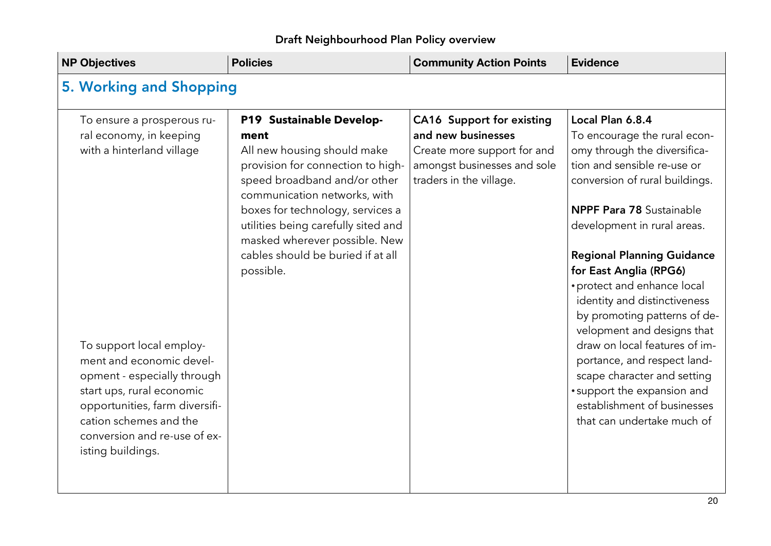| <b>NP Objectives</b>                                                                                                                                                                                                              | <b>Policies</b>                                                                                                                                                                                                                                                                  | <b>Community Action Points</b>                                                                                                           | <b>Evidence</b>                                                                                                                                                                                                                                                                                                                                                                     |
|-----------------------------------------------------------------------------------------------------------------------------------------------------------------------------------------------------------------------------------|----------------------------------------------------------------------------------------------------------------------------------------------------------------------------------------------------------------------------------------------------------------------------------|------------------------------------------------------------------------------------------------------------------------------------------|-------------------------------------------------------------------------------------------------------------------------------------------------------------------------------------------------------------------------------------------------------------------------------------------------------------------------------------------------------------------------------------|
| 5. Working and Shopping                                                                                                                                                                                                           |                                                                                                                                                                                                                                                                                  |                                                                                                                                          |                                                                                                                                                                                                                                                                                                                                                                                     |
| To ensure a prosperous ru-<br>ral economy, in keeping<br>with a hinterland village                                                                                                                                                | P19 Sustainable Develop-<br>ment<br>All new housing should make<br>provision for connection to high-<br>speed broadband and/or other<br>communication networks, with<br>boxes for technology, services a<br>utilities being carefully sited and<br>masked wherever possible. New | CA16 Support for existing<br>and new businesses<br>Create more support for and<br>amongst businesses and sole<br>traders in the village. | Local Plan 6.8.4<br>To encourage the rural econ-<br>omy through the diversifica-<br>tion and sensible re-use or<br>conversion of rural buildings.<br><b>NPPF Para 78 Sustainable</b><br>development in rural areas.                                                                                                                                                                 |
| To support local employ-<br>ment and economic devel-<br>opment - especially through<br>start ups, rural economic<br>opportunities, farm diversifi-<br>cation schemes and the<br>conversion and re-use of ex-<br>isting buildings. | cables should be buried if at all<br>possible.                                                                                                                                                                                                                                   |                                                                                                                                          | <b>Regional Planning Guidance</b><br>for East Anglia (RPG6)<br>• protect and enhance local<br>identity and distinctiveness<br>by promoting patterns of de-<br>velopment and designs that<br>draw on local features of im-<br>portance, and respect land-<br>scape character and setting<br>• support the expansion and<br>establishment of businesses<br>that can undertake much of |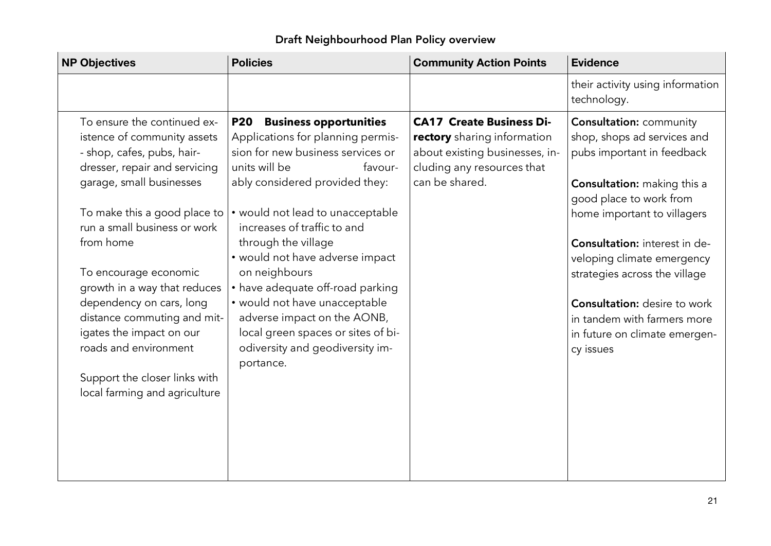| <b>NP Objectives</b>                                                                                                      | <b>Policies</b>                                                                                                                                   | <b>Community Action Points</b>                                                                                                 | <b>Evidence</b>                                                                             |
|---------------------------------------------------------------------------------------------------------------------------|---------------------------------------------------------------------------------------------------------------------------------------------------|--------------------------------------------------------------------------------------------------------------------------------|---------------------------------------------------------------------------------------------|
|                                                                                                                           |                                                                                                                                                   |                                                                                                                                | their activity using information<br>technology.                                             |
| To ensure the continued ex-<br>istence of community assets<br>- shop, cafes, pubs, hair-<br>dresser, repair and servicing | <b>Business opportunities</b><br><b>P20</b><br>Applications for planning permis-<br>sion for new business services or<br>units will be<br>favour- | <b>CA17 Create Business Di-</b><br>rectory sharing information<br>about existing businesses, in-<br>cluding any resources that | <b>Consultation: community</b><br>shop, shops ad services and<br>pubs important in feedback |
| garage, small businesses                                                                                                  | ably considered provided they:                                                                                                                    | can be shared.                                                                                                                 | <b>Consultation:</b> making this a<br>good place to work from                               |
| To make this a good place to<br>run a small business or work                                                              | • would not lead to unacceptable<br>increases of traffic to and                                                                                   |                                                                                                                                | home important to villagers                                                                 |
| from home                                                                                                                 | through the village<br>• would not have adverse impact                                                                                            |                                                                                                                                | <b>Consultation:</b> interest in de-<br>veloping climate emergency                          |
| To encourage economic<br>growth in a way that reduces                                                                     | on neighbours<br>• have adequate off-road parking                                                                                                 |                                                                                                                                | strategies across the village                                                               |
| dependency on cars, long<br>distance commuting and mit-                                                                   | • would not have unacceptable<br>adverse impact on the AONB,                                                                                      |                                                                                                                                | <b>Consultation:</b> desire to work<br>in tandem with farmers more                          |
| igates the impact on our<br>roads and environment                                                                         | local green spaces or sites of bi-<br>odiversity and geodiversity im-<br>portance.                                                                |                                                                                                                                | in future on climate emergen-<br>cy issues                                                  |
| Support the closer links with<br>local farming and agriculture                                                            |                                                                                                                                                   |                                                                                                                                |                                                                                             |
|                                                                                                                           |                                                                                                                                                   |                                                                                                                                |                                                                                             |
|                                                                                                                           |                                                                                                                                                   |                                                                                                                                |                                                                                             |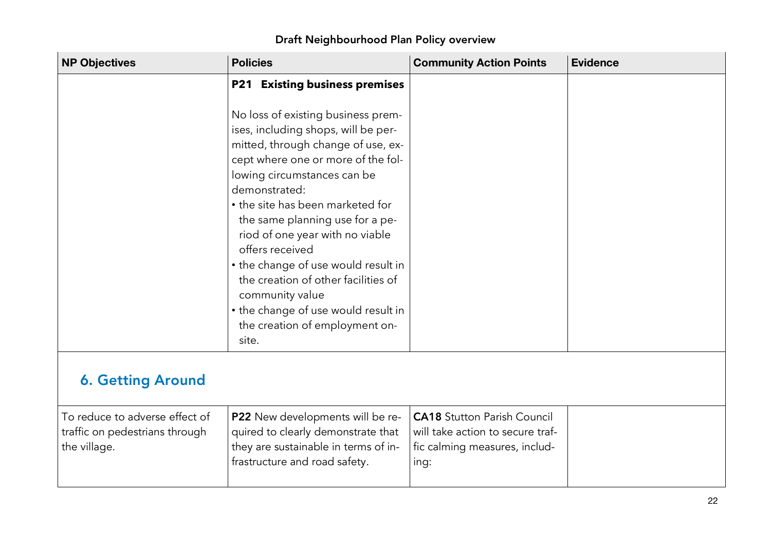| <b>NP Objectives</b>                                                             | <b>Policies</b>                                                                                                                                              | <b>Community Action Points</b>                                                                                  | <b>Evidence</b> |
|----------------------------------------------------------------------------------|--------------------------------------------------------------------------------------------------------------------------------------------------------------|-----------------------------------------------------------------------------------------------------------------|-----------------|
|                                                                                  | <b>P21 Existing business premises</b><br>No loss of existing business prem-<br>ises, including shops, will be per-                                           |                                                                                                                 |                 |
|                                                                                  | mitted, through change of use, ex-<br>cept where one or more of the fol-<br>lowing circumstances can be<br>demonstrated:<br>• the site has been marketed for |                                                                                                                 |                 |
|                                                                                  | the same planning use for a pe-<br>riod of one year with no viable<br>offers received<br>• the change of use would result in                                 |                                                                                                                 |                 |
|                                                                                  | the creation of other facilities of<br>community value<br>• the change of use would result in<br>the creation of employment on-<br>site.                     |                                                                                                                 |                 |
| <b>6. Getting Around</b>                                                         |                                                                                                                                                              |                                                                                                                 |                 |
| To reduce to adverse effect of<br>traffic on pedestrians through<br>the village. | P22 New developments will be re-<br>quired to clearly demonstrate that<br>they are sustainable in terms of in-<br>frastructure and road safety.              | <b>CA18</b> Stutton Parish Council<br>will take action to secure traf-<br>fic calming measures, includ-<br>ing: |                 |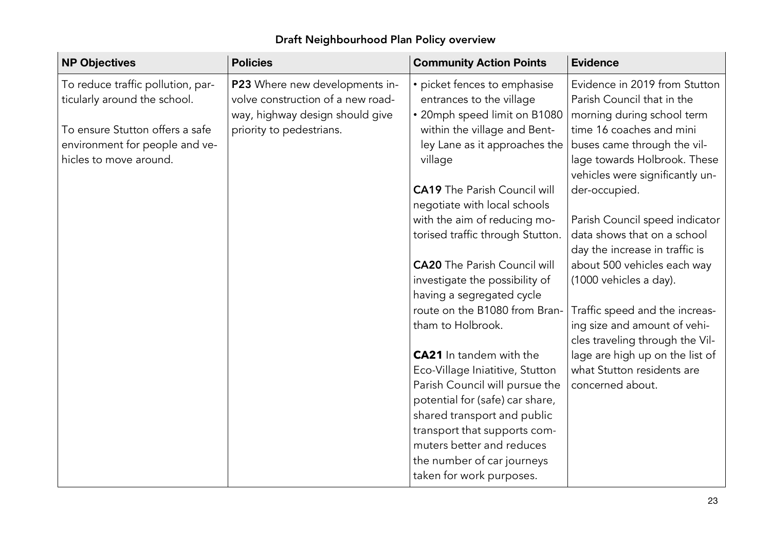#### **NP** Objectives **Objectives Policies Community Action Points Evidence** To reduce traffic pollution, particularly around the school. To ensure Stutton offers <sup>a</sup> safe environment for people and vehicles to move around. **P23** Where new developments involve construction of <sup>a</sup> new roadway, highway design should give priority to pedestrians. • picket fences to emphasise entrances to the village • 20mph speed limit on B1080 within the village and Bentley Lane as it approaches the  $\mid$  buses came through the vilvillage CA19 The Parish Council will negotiate with local schools with the aim of reducing motorised traffic through Stutton. CA20 The Parish Council will investigate the possibility of having <sup>a</sup> segregated cycle route on the B1080 from Brantham to Holbrook. **CA21** In tandem with the Eco-Village Iniatitive, Stutton Parish Council will pursue the potential for (safe) car share, shared transport and public transport that supports commuters better and reduces the number of car journeys taken for work purposes. Evidence in 2019 from Stutton Parish Council that in the morning during school term time 16 coaches and mini lage towards Holbrook. These vehicles were significantly under-occupied. Parish Council speed indicator data shows that on <sup>a</sup> school day the increase in traffic is about 500 vehicles each way (1000 vehicles <sup>a</sup> day). Traffic speed and the increasing size and amount of vehicles traveling through the Village are high up on the list of what Stutton residents are concerned about.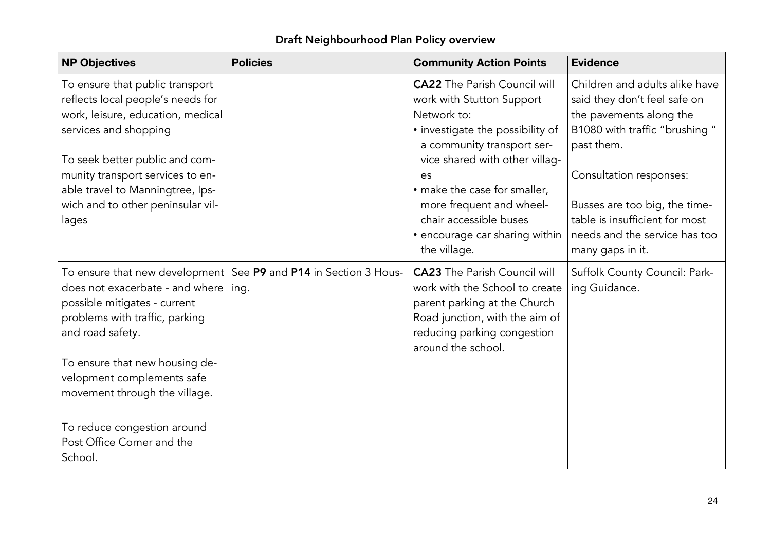| <b>NP Objectives</b>                                                                                                                                    | <b>Policies</b>                                                            | <b>Community Action Points</b>                                                                                                                                                               | <b>Evidence</b>                                                                                                      |
|---------------------------------------------------------------------------------------------------------------------------------------------------------|----------------------------------------------------------------------------|----------------------------------------------------------------------------------------------------------------------------------------------------------------------------------------------|----------------------------------------------------------------------------------------------------------------------|
| To ensure that public transport<br>reflects local people's needs for<br>work, leisure, education, medical                                               |                                                                            | <b>CA22</b> The Parish Council will<br>work with Stutton Support<br>Network to:                                                                                                              | Children and adults alike have<br>said they don't feel safe on<br>the pavements along the                            |
| services and shopping<br>To seek better public and com-                                                                                                 |                                                                            | • investigate the possibility of<br>a community transport ser-<br>vice shared with other villag-                                                                                             | B1080 with traffic "brushing"<br>past them.                                                                          |
| munity transport services to en-<br>able travel to Manningtree, Ips-                                                                                    |                                                                            | es<br>• make the case for smaller,                                                                                                                                                           | Consultation responses:                                                                                              |
| wich and to other peninsular vil-<br>lages                                                                                                              |                                                                            | more frequent and wheel-<br>chair accessible buses<br>• encourage car sharing within<br>the village.                                                                                         | Busses are too big, the time-<br>table is insufficient for most<br>needs and the service has too<br>many gaps in it. |
| does not exacerbate - and where<br>possible mitigates - current<br>problems with traffic, parking<br>and road safety.<br>To ensure that new housing de- | To ensure that new development   See P9 and P14 in Section 3 Hous-<br>ing. | <b>CA23</b> The Parish Council will<br>work with the School to create<br>parent parking at the Church<br>Road junction, with the aim of<br>reducing parking congestion<br>around the school. | Suffolk County Council: Park-<br>ing Guidance.                                                                       |
| velopment complements safe<br>movement through the village.                                                                                             |                                                                            |                                                                                                                                                                                              |                                                                                                                      |
| To reduce congestion around<br>Post Office Corner and the<br>School.                                                                                    |                                                                            |                                                                                                                                                                                              |                                                                                                                      |